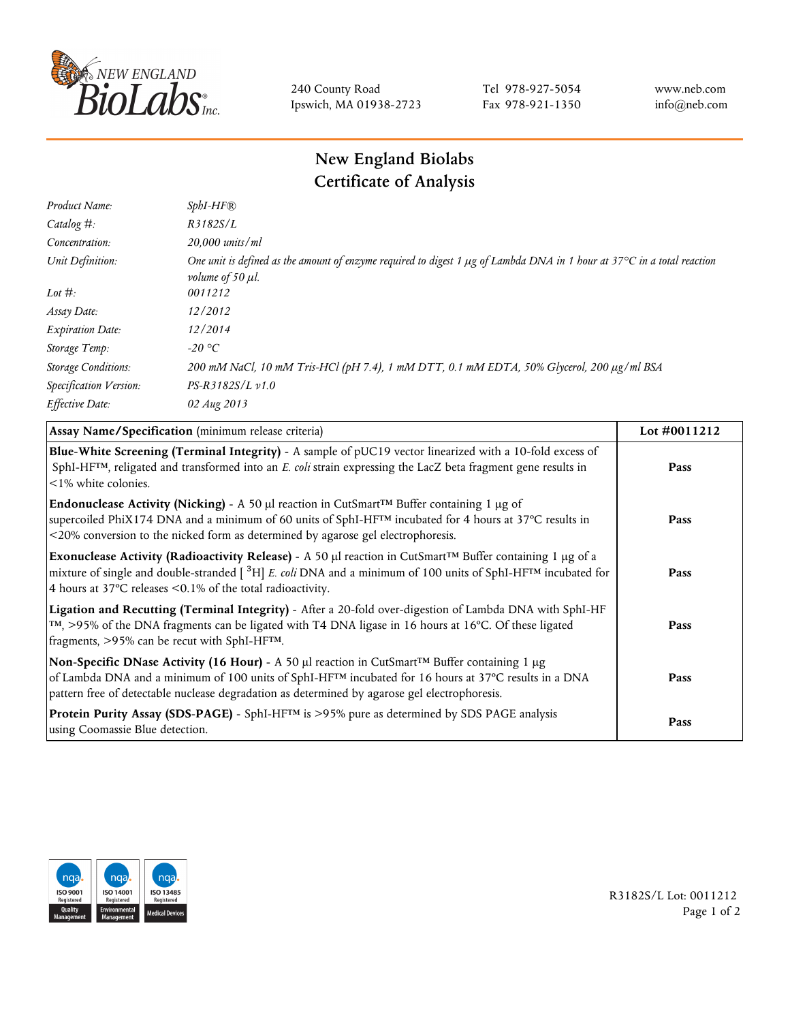

240 County Road Ipswich, MA 01938-2723 Tel 978-927-5054 Fax 978-921-1350 www.neb.com info@neb.com

## **New England Biolabs Certificate of Analysis**

| $SphI-HF$ <sup>®</sup>                                                                                                                                                           |
|----------------------------------------------------------------------------------------------------------------------------------------------------------------------------------|
| R3182S/L                                                                                                                                                                         |
| 20,000 units/ml                                                                                                                                                                  |
| One unit is defined as the amount of enzyme required to digest 1 $\mu$ g of Lambda DNA in 1 hour at 37 $\degree$ C in a total reaction<br><i>volume of 50 <math>\mu</math>l.</i> |
| 0011212                                                                                                                                                                          |
| 12/2012                                                                                                                                                                          |
| 12/2014                                                                                                                                                                          |
| $-20$ °C                                                                                                                                                                         |
| 200 mM NaCl, 10 mM Tris-HCl (pH 7.4), 1 mM DTT, 0.1 mM EDTA, 50% Glycerol, 200 µg/ml BSA                                                                                         |
| $PS-R3182S/L \nu 1.0$                                                                                                                                                            |
| 02 Aug 2013                                                                                                                                                                      |
|                                                                                                                                                                                  |

| Assay Name/Specification (minimum release criteria)                                                                                                                                                                                                                                                                                         | Lot #0011212 |
|---------------------------------------------------------------------------------------------------------------------------------------------------------------------------------------------------------------------------------------------------------------------------------------------------------------------------------------------|--------------|
| Blue-White Screening (Terminal Integrity) - A sample of pUC19 vector linearized with a 10-fold excess of<br>SphI-HF <sup>TM</sup> , religated and transformed into an E. coli strain expressing the LacZ beta fragment gene results in<br>$\leq$ 1% white colonies.                                                                         | Pass         |
| Endonuclease Activity (Nicking) - A 50 µl reaction in CutSmart <sup>TM</sup> Buffer containing 1 µg of<br>supercoiled PhiX174 DNA and a minimum of 60 units of SphI-HF™ incubated for 4 hours at 37°C results in<br><20% conversion to the nicked form as determined by agarose gel electrophoresis.                                        | Pass         |
| Exonuclease Activity (Radioactivity Release) - A 50 $\mu$ l reaction in CutSmart <sup>TM</sup> Buffer containing 1 $\mu$ g of a<br>mixture of single and double-stranded $[{}^{3}H]E$ . coli DNA and a minimum of 100 units of SphI-HF <sup>TM</sup> incubated for<br>4 hours at 37 $\degree$ C releases < 0.1% of the total radioactivity. | Pass         |
| Ligation and Recutting (Terminal Integrity) - After a 20-fold over-digestion of Lambda DNA with SphI-HF<br>$\text{TM}$ , >95% of the DNA fragments can be ligated with T4 DNA ligase in 16 hours at 16 °C. Of these ligated<br>fragments, >95% can be recut with SphI-HFTM.                                                                 | Pass         |
| Non-Specific DNase Activity (16 Hour) - A 50 µl reaction in CutSmart™ Buffer containing 1 µg<br>of Lambda DNA and a minimum of 100 units of SphI-HF™ incubated for 16 hours at 37°C results in a DNA<br>pattern free of detectable nuclease degradation as determined by agarose gel electrophoresis.                                       | Pass         |
| Protein Purity Assay (SDS-PAGE) - SphI-HF™ is >95% pure as determined by SDS PAGE analysis<br>using Coomassie Blue detection.                                                                                                                                                                                                               | Pass         |



R3182S/L Lot: 0011212 Page 1 of 2